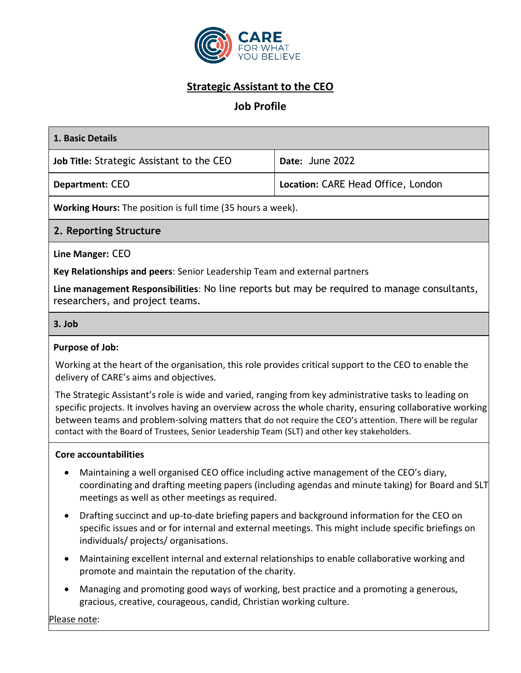

# **Strategic Assistant to the CEO**

### **Job Profile**

| 1. Basic Details                                                                                                                                                                                                                                                                                                                                                                                                                 |                                                                                                     |
|----------------------------------------------------------------------------------------------------------------------------------------------------------------------------------------------------------------------------------------------------------------------------------------------------------------------------------------------------------------------------------------------------------------------------------|-----------------------------------------------------------------------------------------------------|
| Job Title: Strategic Assistant to the CEO                                                                                                                                                                                                                                                                                                                                                                                        | Date: June 2022                                                                                     |
| <b>Department: CEO</b>                                                                                                                                                                                                                                                                                                                                                                                                           | Location: CARE Head Office, London                                                                  |
| Working Hours: The position is full time (35 hours a week).                                                                                                                                                                                                                                                                                                                                                                      |                                                                                                     |
| 2. Reporting Structure                                                                                                                                                                                                                                                                                                                                                                                                           |                                                                                                     |
| Line Manger: CEO                                                                                                                                                                                                                                                                                                                                                                                                                 |                                                                                                     |
| Key Relationships and peers: Senior Leadership Team and external partners                                                                                                                                                                                                                                                                                                                                                        |                                                                                                     |
| Line management Responsibilities: No line reports but may be required to manage consultants,<br>researchers, and project teams.                                                                                                                                                                                                                                                                                                  |                                                                                                     |
| 3. Job                                                                                                                                                                                                                                                                                                                                                                                                                           |                                                                                                     |
| <b>Purpose of Job:</b>                                                                                                                                                                                                                                                                                                                                                                                                           |                                                                                                     |
| Working at the heart of the organisation, this role provides critical support to the CEO to enable the<br>delivery of CARE's aims and objectives.                                                                                                                                                                                                                                                                                |                                                                                                     |
| The Strategic Assistant's role is wide and varied, ranging from key administrative tasks to leading on<br>specific projects. It involves having an overview across the whole charity, ensuring collaborative working<br>between teams and problem-solving matters that do not require the CEO's attention. There will be regular<br>contact with the Board of Trustees, Senior Leadership Team (SLT) and other key stakeholders. |                                                                                                     |
| <b>Core accountabilities</b>                                                                                                                                                                                                                                                                                                                                                                                                     |                                                                                                     |
| Maintaining a well organised CEO office including active management of the CEO's diary,<br>meetings as well as other meetings as required.                                                                                                                                                                                                                                                                                       | coordinating and drafting meeting papers (including agendas and minute taking) for Board and SLT    |
| Drafting succinct and up-to-date briefing papers and background information for the CEO on<br>$\bullet$<br>individuals/ projects/ organisations.                                                                                                                                                                                                                                                                                 | specific issues and or for internal and external meetings. This might include specific briefings on |
| Maintaining excellent internal and external relationships to enable collaborative working and                                                                                                                                                                                                                                                                                                                                    |                                                                                                     |

• Managing and promoting good ways of working, best practice and a promoting a generous, gracious, creative, courageous, candid, Christian working culture.

promote and maintain the reputation of the charity.

Please note: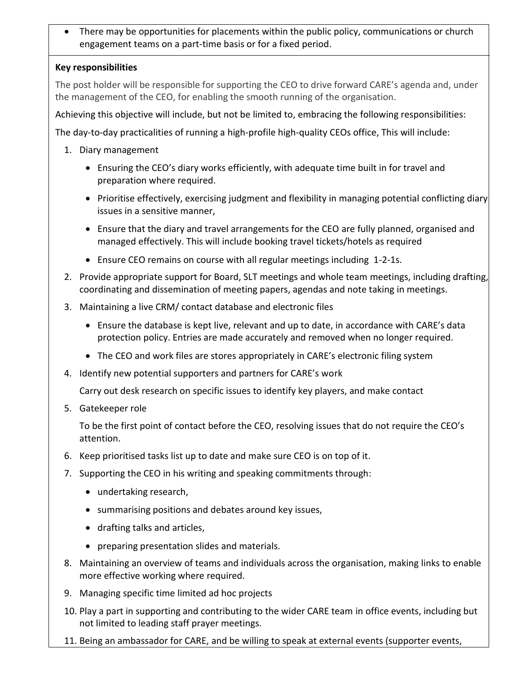• There may be opportunities for placements within the public policy, communications or church engagement teams on a part-time basis or for a fixed period.

#### **Key responsibilities**

The post holder will be responsible for supporting the CEO to drive forward CARE's agenda and, under the management of the CEO, for enabling the smooth running of the organisation.

Achieving this objective will include, but not be limited to, embracing the following responsibilities:

The day-to-day practicalities of running a high-profile high-quality CEOs office, This will include:

- 1. Diary management
	- Ensuring the CEO's diary works efficiently, with adequate time built in for travel and preparation where required.
	- Prioritise effectively, exercising judgment and flexibility in managing potential conflicting diary issues in a sensitive manner,
	- Ensure that the diary and travel arrangements for the CEO are fully planned, organised and managed effectively. This will include booking travel tickets/hotels as required
	- Ensure CEO remains on course with all regular meetings including 1-2-1s.
- 2. Provide appropriate support for Board, SLT meetings and whole team meetings, including drafting, coordinating and dissemination of meeting papers, agendas and note taking in meetings.
- 3. Maintaining a live CRM/ contact database and electronic files
	- Ensure the database is kept live, relevant and up to date, in accordance with CARE's data protection policy. Entries are made accurately and removed when no longer required.
	- The CEO and work files are stores appropriately in CARE's electronic filing system
- 4. Identify new potential supporters and partners for CARE's work

Carry out desk research on specific issues to identify key players, and make contact

5. Gatekeeper role

To be the first point of contact before the CEO, resolving issues that do not require the CEO's attention.

- 6. Keep prioritised tasks list up to date and make sure CEO is on top of it.
- 7. Supporting the CEO in his writing and speaking commitments through:
	- undertaking research,
	- summarising positions and debates around key issues,
	- drafting talks and articles,
	- preparing presentation slides and materials.
- 8. Maintaining an overview of teams and individuals across the organisation, making links to enable more effective working where required.
- 9. Managing specific time limited ad hoc projects
- 10. Play a part in supporting and contributing to the wider CARE team in office events, including but not limited to leading staff prayer meetings.
- 11. Being an ambassador for CARE, and be willing to speak at external events (supporter events,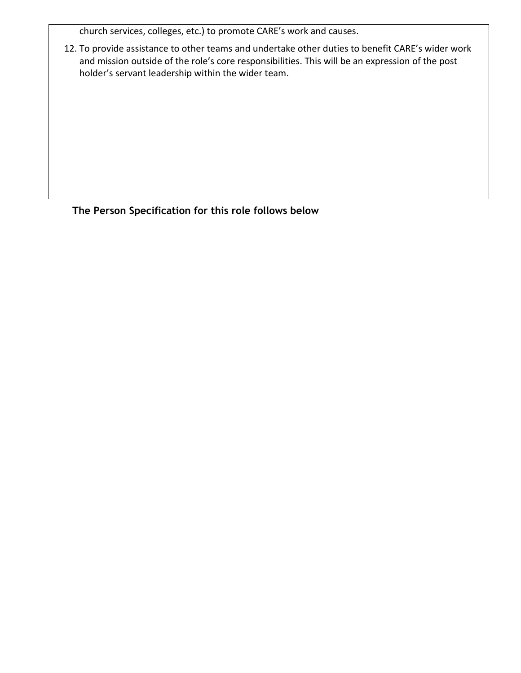church services, colleges, etc.) to promote CARE's work and causes.

12. To provide assistance to other teams and undertake other duties to benefit CARE's wider work and mission outside of the role's core responsibilities. This will be an expression of the post holder's servant leadership within the wider team.

**The Person Specification for this role follows below**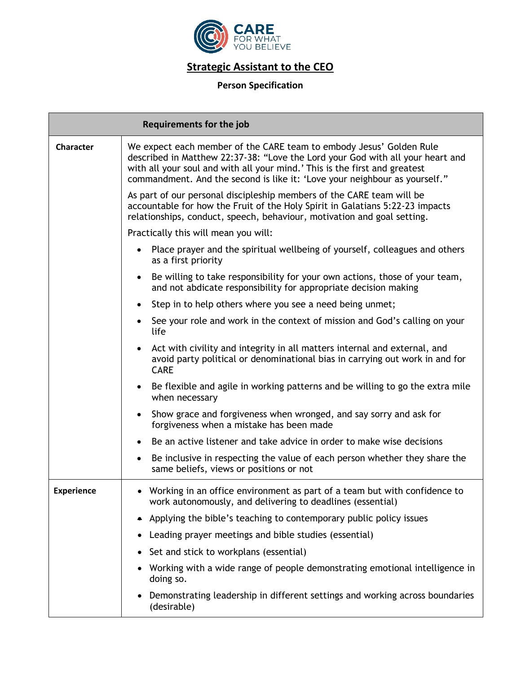

## **Strategic Assistant to the CEO**

#### **Person Specification**

| <b>Requirements for the job</b> |                                                                                                                                                                                                                                                                                                                   |
|---------------------------------|-------------------------------------------------------------------------------------------------------------------------------------------------------------------------------------------------------------------------------------------------------------------------------------------------------------------|
| <b>Character</b>                | We expect each member of the CARE team to embody Jesus' Golden Rule<br>described in Matthew 22:37-38: "Love the Lord your God with all your heart and<br>with all your soul and with all your mind.' This is the first and greatest<br>commandment. And the second is like it: 'Love your neighbour as yourself." |
|                                 | As part of our personal discipleship members of the CARE team will be<br>accountable for how the Fruit of the Holy Spirit in Galatians 5:22-23 impacts<br>relationships, conduct, speech, behaviour, motivation and goal setting.                                                                                 |
|                                 | Practically this will mean you will:                                                                                                                                                                                                                                                                              |
|                                 | Place prayer and the spiritual wellbeing of yourself, colleagues and others<br>as a first priority                                                                                                                                                                                                                |
|                                 | Be willing to take responsibility for your own actions, those of your team,<br>and not abdicate responsibility for appropriate decision making                                                                                                                                                                    |
|                                 | Step in to help others where you see a need being unmet;                                                                                                                                                                                                                                                          |
|                                 | See your role and work in the context of mission and God's calling on your<br>life                                                                                                                                                                                                                                |
|                                 | Act with civility and integrity in all matters internal and external, and<br>avoid party political or denominational bias in carrying out work in and for<br><b>CARE</b>                                                                                                                                          |
|                                 | Be flexible and agile in working patterns and be willing to go the extra mile<br>$\bullet$<br>when necessary                                                                                                                                                                                                      |
|                                 | Show grace and forgiveness when wronged, and say sorry and ask for<br>forgiveness when a mistake has been made                                                                                                                                                                                                    |
|                                 | Be an active listener and take advice in order to make wise decisions<br>$\bullet$                                                                                                                                                                                                                                |
|                                 | Be inclusive in respecting the value of each person whether they share the<br>$\bullet$<br>same beliefs, views or positions or not                                                                                                                                                                                |
| <b>Experience</b>               | • Working in an office environment as part of a team but with confidence to<br>work autonomously, and delivering to deadlines (essential)                                                                                                                                                                         |
|                                 | Applying the bible's teaching to contemporary public policy issues                                                                                                                                                                                                                                                |
|                                 | Leading prayer meetings and bible studies (essential)                                                                                                                                                                                                                                                             |
|                                 | Set and stick to workplans (essential)                                                                                                                                                                                                                                                                            |
|                                 | Working with a wide range of people demonstrating emotional intelligence in<br>doing so.                                                                                                                                                                                                                          |
|                                 | Demonstrating leadership in different settings and working across boundaries<br>(desirable)                                                                                                                                                                                                                       |